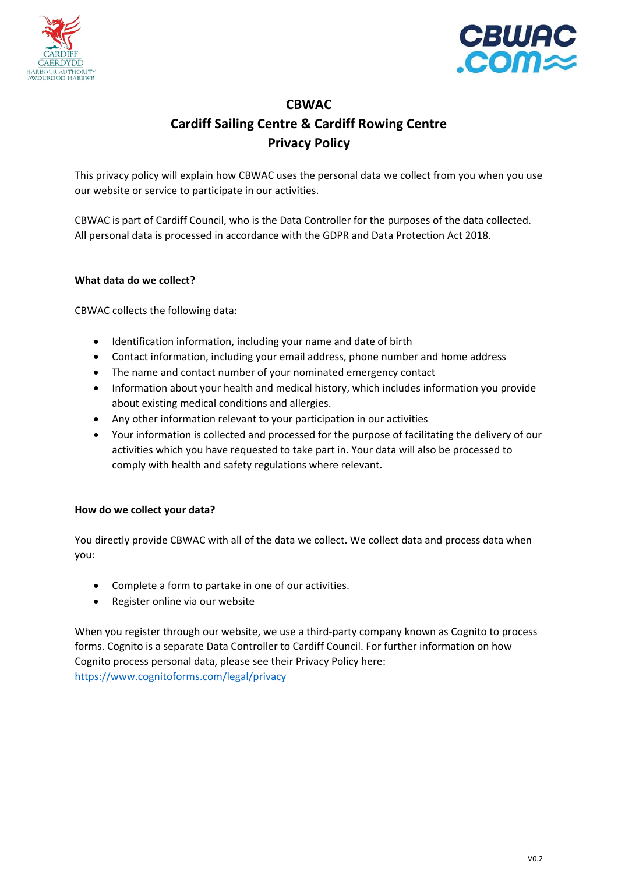



# **CBWAC Cardiff Sailing Centre & Cardiff Rowing Centre Privacy Policy**

This privacy policy will explain how CBWAC uses the personal data we collect from you when you use our website or service to participate in our activities.

CBWAC is part of Cardiff Council, who is the Data Controller for the purposes of the data collected. All personal data is processed in accordance with the GDPR and Data Protection Act 2018.

# **What data do we collect?**

CBWAC collects the following data:

- Identification information, including your name and date of birth
- Contact information, including your email address, phone number and home address
- The name and contact number of your nominated emergency contact
- Information about your health and medical history, which includes information you provide about existing medical conditions and allergies.
- Any other information relevant to your participation in our activities
- Your information is collected and processed for the purpose of facilitating the delivery of our activities which you have requested to take part in. Your data will also be processed to comply with health and safety regulations where relevant.

# **How do we collect your data?**

You directly provide CBWAC with all of the data we collect. We collect data and process data when you:

- Complete a form to partake in one of our activities.
- Register online via our website

When you register through our website, we use a third-party company known as Cognito to process forms. Cognito is a separate Data Controller to Cardiff Council. For further information on how Cognito process personal data, please see their Privacy Policy here: https://www.cognitoforms.com/legal/privacy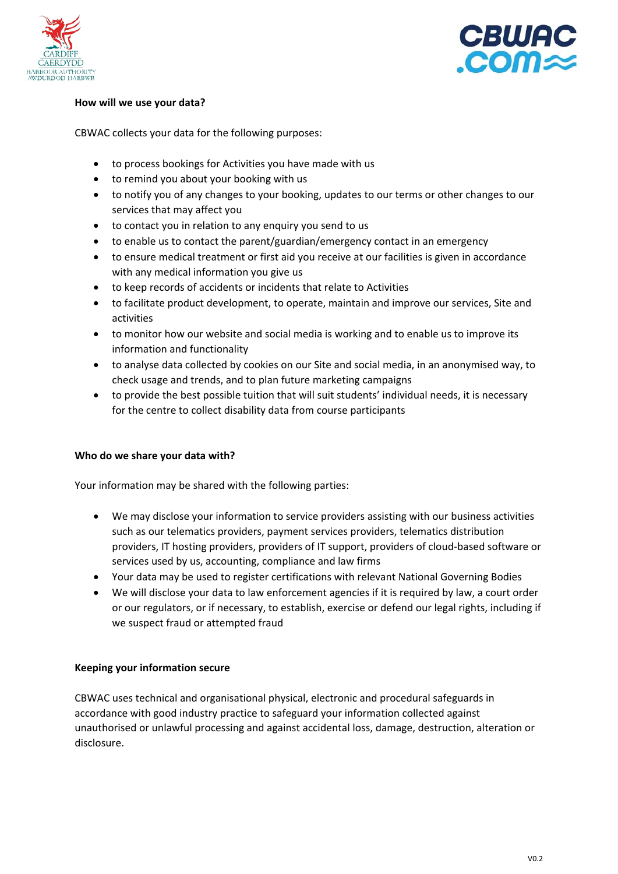



# **How will we use your data?**

CBWAC collects your data for the following purposes:

- to process bookings for Activities you have made with us
- to remind you about your booking with us
- to notify you of any changes to your booking, updates to our terms or other changes to our services that may affect you
- to contact you in relation to any enquiry you send to us
- to enable us to contact the parent/guardian/emergency contact in an emergency
- to ensure medical treatment or first aid you receive at our facilities is given in accordance with any medical information you give us
- to keep records of accidents or incidents that relate to Activities
- to facilitate product development, to operate, maintain and improve our services, Site and activities
- to monitor how our website and social media is working and to enable us to improve its information and functionality
- to analyse data collected by cookies on our Site and social media, in an anonymised way, to check usage and trends, and to plan future marketing campaigns
- to provide the best possible tuition that will suit students' individual needs, it is necessary for the centre to collect disability data from course participants

### **Who do we share your data with?**

Your information may be shared with the following parties:

- We may disclose your information to service providers assisting with our business activities such as our telematics providers, payment services providers, telematics distribution providers, IT hosting providers, providers of IT support, providers of cloud‐based software or services used by us, accounting, compliance and law firms
- Your data may be used to register certifications with relevant National Governing Bodies
- We will disclose your data to law enforcement agencies if it is required by law, a court order or our regulators, or if necessary, to establish, exercise or defend our legal rights, including if we suspect fraud or attempted fraud

### **Keeping your information secure**

CBWAC uses technical and organisational physical, electronic and procedural safeguards in accordance with good industry practice to safeguard your information collected against unauthorised or unlawful processing and against accidental loss, damage, destruction, alteration or disclosure.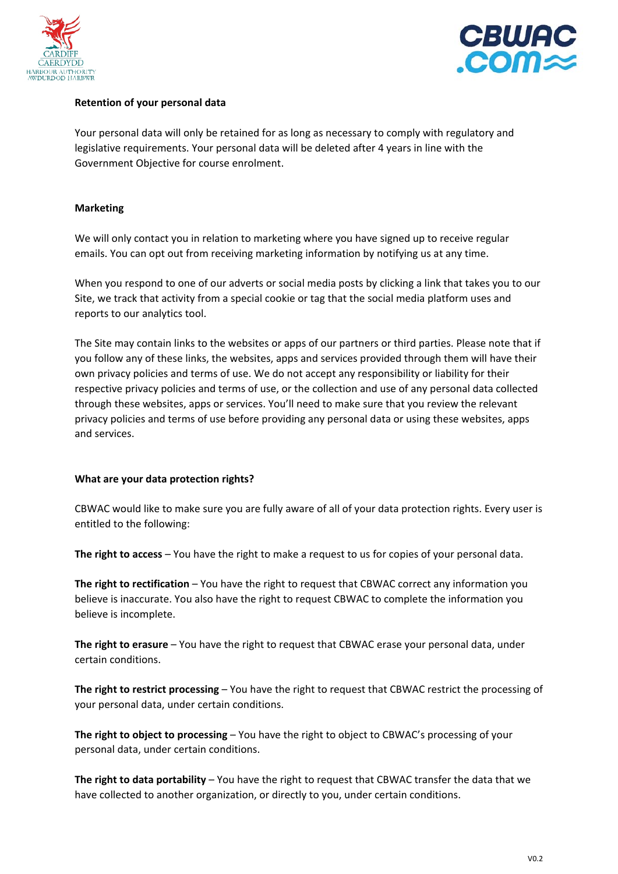



# **Retention of your personal data**

Your personal data will only be retained for as long as necessary to comply with regulatory and legislative requirements. Your personal data will be deleted after 4 years in line with the Government Objective for course enrolment.

## **Marketing**

We will only contact you in relation to marketing where you have signed up to receive regular emails. You can opt out from receiving marketing information by notifying us at any time.

When you respond to one of our adverts or social media posts by clicking a link that takes you to our Site, we track that activity from a special cookie or tag that the social media platform uses and reports to our analytics tool.

The Site may contain links to the websites or apps of our partners or third parties. Please note that if you follow any of these links, the websites, apps and services provided through them will have their own privacy policies and terms of use. We do not accept any responsibility or liability for their respective privacy policies and terms of use, or the collection and use of any personal data collected through these websites, apps or services. You'll need to make sure that you review the relevant privacy policies and terms of use before providing any personal data or using these websites, apps and services.

### **What are your data protection rights?**

CBWAC would like to make sure you are fully aware of all of your data protection rights. Every user is entitled to the following:

**The right to access** – You have the right to make a request to us for copies of your personal data.

**The right to rectification** – You have the right to request that CBWAC correct any information you believe is inaccurate. You also have the right to request CBWAC to complete the information you believe is incomplete.

**The right to erasure** – You have the right to request that CBWAC erase your personal data, under certain conditions.

**The right to restrict processing** – You have the right to request that CBWAC restrict the processing of your personal data, under certain conditions.

**The right to object to processing** – You have the right to object to CBWAC's processing of your personal data, under certain conditions.

**The right to data portability** – You have the right to request that CBWAC transfer the data that we have collected to another organization, or directly to you, under certain conditions.